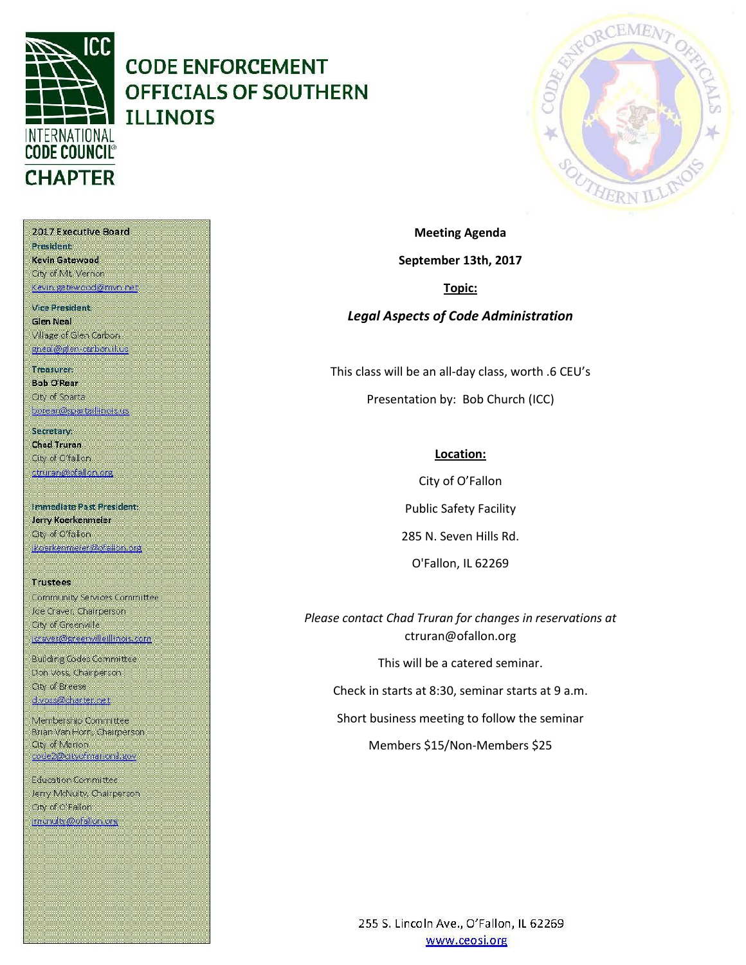

# **CODE ENFORCEMENT OFFICIALS OF SOUTHERN ILLINOIS**



2017 Executive Board President Kevin Gatewood City of Mt. Vernon Kevin, gatewood@mvn.net **Vice President. Glen Neal** 

Village of Glen Carbon gneal@glen-carbon.il.uc

Treasurer: **Bob O'Rear** Oty of Sparta borear@spartaillinois.us

Secretary: **Chad Truran** City of O'fallon. ctruran@ofallon.org

**Immediate Past President:** Jerry Koerkenmeier Oty of O'fallon (koerkenmerer@ofallon.org

**Trustees** Community Services Committee Joe Craver, Chairperson City of Greenville joraver@greenvilleillinois.com

**Building Codes Committee** Don Voss, Chairperson. City of Breese d.voss@charter.net

Membership Committee Brian Van Horn, Chairperson **City of Marion** code2@dityofmarionil.gov

Education Committee Jerry McNulty, Chairperson City of O'Fallon imenulty@ofallor.org

**September 13th, 2017 Topic:**

**Meeting Agenda**

*Legal Aspects of Code Administration*

This class will be an all-day class, worth .6 CEU's Presentation by: Bob Church (ICC)

#### **Location:**

City of O'Fallon Public Safety Facility 285 N. Seven Hills Rd. O'Fallon, IL 62269

*Please contact Chad Truran for changes in reservations at* ctruran@ofallon.org

This will be a catered seminar.

Check in starts at 8:30, seminar starts at 9 a.m.

Short business meeting to follow the seminar

Members \$15/Non-Members \$25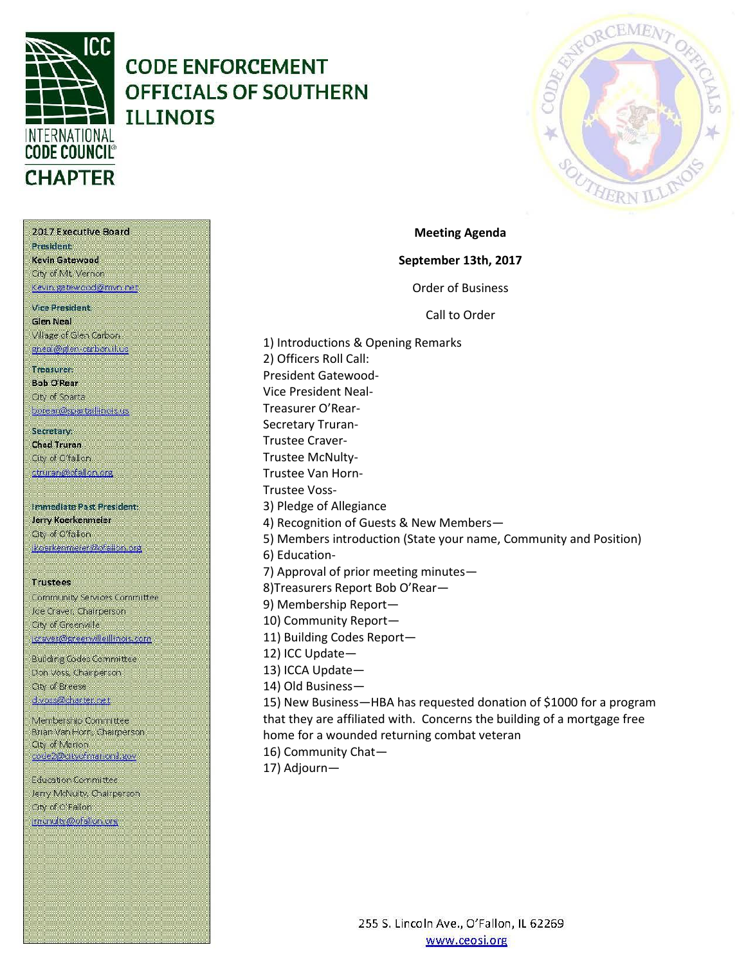

### **CODE ENFORCEMENT OFFICIALS OF SOUTHERN ILLINOIS**



2017 Executive Board **President** Kevin Gatewood City of Mt. Vernon Kevin gatewood@nivn net **Vice President. Glen Neal** Village of Glen Carbon gneal@glen-carbon.il.uc

Treasurer:

**Bob O'Rear** Oty of Sparta borear@spartaillinois.us

Secretary: **Chad Truran** City of O'fallon ctruran@ofallon.org

**Immediate Past President:** Jerry Koerkenmeier Oty of O'fallon (koerkenmerer@ofallon.org

**Trustees** 

Community Services Committee Joe Craver, Chairperson City of Greenville joraver@greenvilleillinois.com

**Building Codes Committee** Don Voss, Chairperson. City of Breese d.voss@charter.net

Membership Committee Brian Van Horn, Chairperson **City of Marion** code2@dityofmarionil.gov

Education Committee Jerry McNulty, Chairperson City of O'Fallon imenuity@ofallor.org

**September 13th, 2017** Order of Business Call to Order

**Meeting Agenda**

1) Introductions & Opening Remarks 2) Officers Roll Call: President Gatewood-Vice President Neal-Treasurer O'Rear-Secretary Truran-Trustee Craver-Trustee McNulty-Trustee Van Horn-Trustee Voss-3) Pledge of Allegiance 4) Recognition of Guests & New Members— 5) Members introduction (State your name, Community and Position) 6) Education-7) Approval of prior meeting minutes— 8)Treasurers Report Bob O'Rear— 9) Membership Report— 10) Community Report— 11) Building Codes Report— 12) ICC Update— 13) ICCA Update— 14) Old Business— 15) New Business—HBA has requested donation of \$1000 for a program that they are affiliated with. Concerns the building of a mortgage free home for a wounded returning combat veteran

16) Community Chat—

17) Adjourn—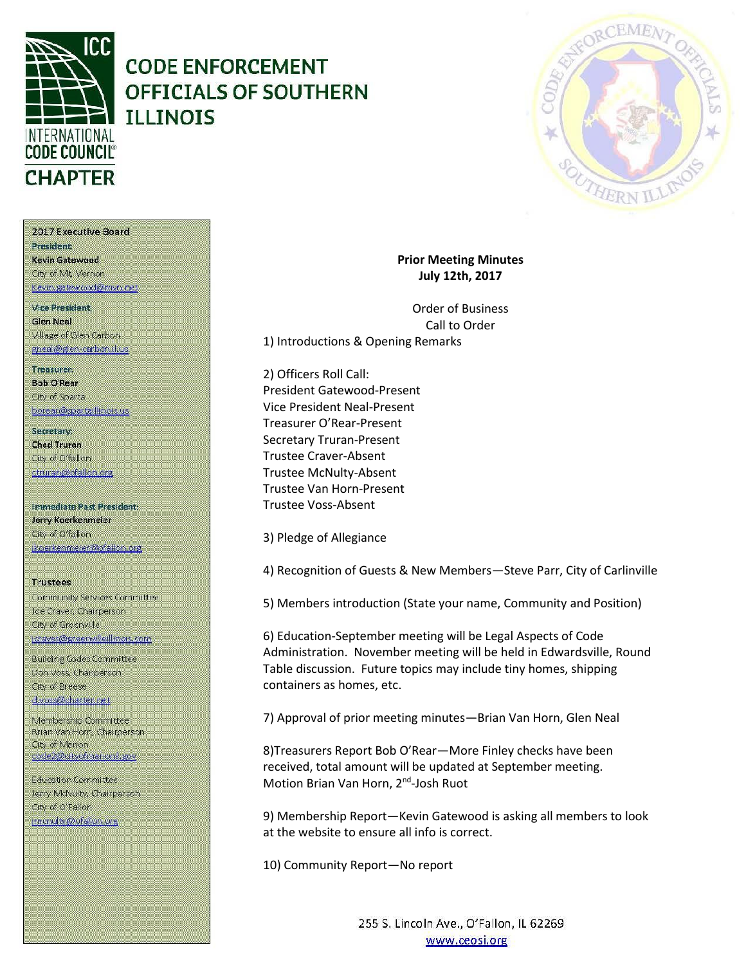

## **CODE ENFORCEMENT OFFICIALS OF SOUTHERN ILLINOIS**



2017 Executive Board President Kevin Gatewood City of Mt. Vernon

Kevin, gatewood@mvn.net

**Vice President. Glen Neal** Village of Glen Carbon gneal@glen-carbon.il.us

Treasurer: **Bob O'Rear Oty of Sparta** 

borear@spartaillinois.us

Secretary: **Chad Truran** City of O'fallon. ctruran@ofallon.org

**Immediate Past President:** Jerry Koerkenmeier Oty of O'fallon (koerkenmerer@ofallon.org

**Trustees** Community Services Committee Joe Craver, Chairperson City of Greenville joraver@greenvilleillinois.com

**Building Codes Committee** Don Voss, Chairperson. City of Breese d.voss@charter.net

Membership Committee Brian Van Horn, Chairperson **City of Marion** code2@dityofmarionil.gov

Education Committee Jerry McNulty, Chairperson City of O'Fallon imenuity@ofallor.org

**Prior Meeting Minutes July 12th, 2017**

Order of Business Call to Order 1) Introductions & Opening Remarks

2) Officers Roll Call: President Gatewood-Present Vice President Neal-Present Treasurer O'Rear-Present Secretary Truran-Present Trustee Craver-Absent Trustee McNulty-Absent Trustee Van Horn-Present Trustee Voss-Absent

3) Pledge of Allegiance

4) Recognition of Guests & New Members—Steve Parr, City of Carlinville

5) Members introduction (State your name, Community and Position)

6) Education-September meeting will be Legal Aspects of Code Administration. November meeting will be held in Edwardsville, Round Table discussion. Future topics may include tiny homes, shipping containers as homes, etc.

7) Approval of prior meeting minutes—Brian Van Horn, Glen Neal

8)Treasurers Report Bob O'Rear—More Finley checks have been received, total amount will be updated at September meeting. Motion Brian Van Horn, 2<sup>nd</sup>-Josh Ruot

9) Membership Report—Kevin Gatewood is asking all members to look at the website to ensure all info is correct.

10) Community Report—No report